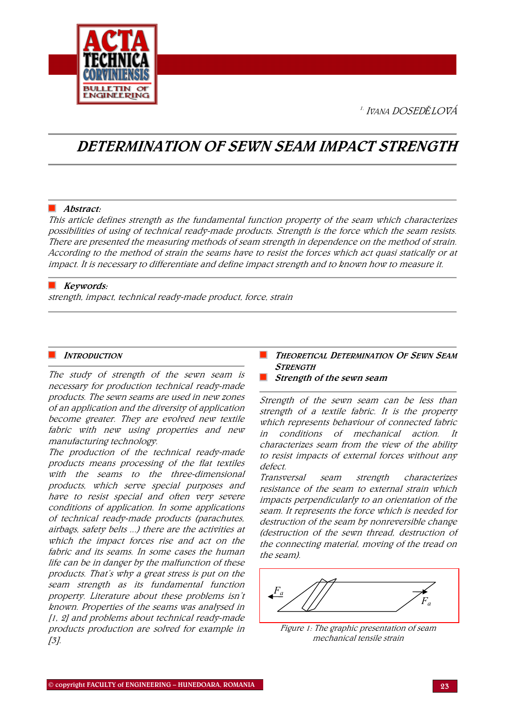1. <sup>I</sup>VANA DOSED*Ě*LOVÁ



# DETERMINATION OF SEWN SEAM IMPACT STRENGTH

# $\blacksquare$  Abstract:

This article defines strength as the fundamental function property of the seam which characterizes possibilities of using of technical ready-made products. Strength is the force which the seam resists. There are presented the measuring methods of seam strength in dependence on the method of strain. According to the method of strain the seams have to resist the forces which act quasi statically or at impact. It is necessary to differentiate and define impact strength and to known how to measure it.

# Keywords:

strength, impact, technical ready-made product, force, strain

## **INTRODUCTION**

The study of strength of the sewn seam is necessary for production technical ready-made products. The sewn seams are used in new zones of an application and the diversity of application become greater. They are evolved new textile fabric with new using properties and new manufacturing technology.

The production of the technical ready-made products means processing of the flat textiles with the seams to the three-dimensional products, which serve special purposes and have to resist special and often very severe conditions of application. In some applications of technical ready-made products (parachutes, airbags, safety belts ...) there are the activities at which the impact forces rise and act on the fabric and its seams. In some cases the human life can be in danger by the malfunction of these products. That's why a great stress is put on the seam strength as its fundamental function property. Literature about these problems isn't known. Properties of the seams was analysed in [1, 2] and problems about technical ready-made products production are solved for example in  $[3]$ .

- **THEORETICAL DETERMINATION OF SEWN SEAM STRENGTH**
- $\blacksquare$  Strength of the sewn seam

Strength of the sewn seam can be less than strength of a textile fabric. It is the property which represents behaviour of connected fabric in conditions of mechanical action. It characterizes seam from the view of the ability to resist impacts of external forces without any defect.

Transversal seam strength characterizes resistance of the seam to external strain which impacts perpendicularly to an orientation of the seam. It represents the force which is needed for destruction of the seam by nonreversible change (destruction of the sewn thread, destruction of the connecting material, moving of the tread on the seam).

Figure 1: The graphic presentation of seam mechanical tensile strain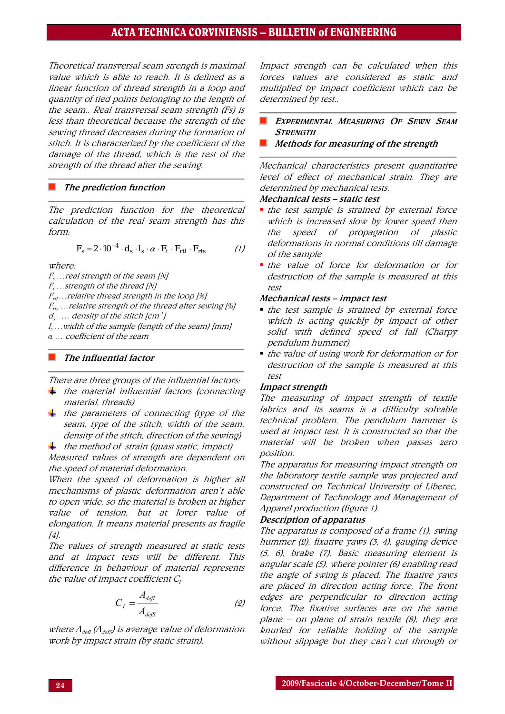# ACTA TECHNICA CORVINIENSIS – BULLETIN of ENGINEERING

Theoretical transversal seam strength is maximal value which is able to reach. It is defined as a linear function of thread strength in a loop and quantity of tied points belonging to the length of the seam.. Real transversal seam strength (Fs) is less than theoretical because the strength of the sewing thread decreases during the formation of stitch. It is characterized by the coefficient of the damage of the thread, which is the rest of the strength of the thread after the sewing.

#### The prediction function

The prediction function for the theoretical calculation of the real seam strength has this form:

$$
F_s = 2 \cdot 10^{-4} \cdot d_s \cdot l_s \cdot \alpha \cdot F_t \cdot F_{rtl} \cdot F_{rts} \tag{1}
$$

where:

 $F_s \ldots$ real strength of the seam [N]

 $F_{t}$  …strength of the thread [N]

 $F_{rt}$ ... relative thread strength in the loop [%]

 $F_{rs}$  ... relative strength of the thread after sewing [%]

 $d_s$  ... density of the stitch [cm<sup>-1</sup>]

ls …width of the sample (length of the seam) [mm]

*α* … coefficient of the seam

# The influential factor

There are three groups of the influential factors:

- $\frac{1}{\sqrt{2}}$  the material influential factors (connecting material, threads)
- $\frac{1}{\sqrt{2}}$  the parameters of connecting (type of the seam, type of the stitch, width of the seam, density of the stitch, direction of the sewing)
- $\pm$  the method of strain (quasi static, impact)

Measured values of strength are dependent on the speed of material deformation.

When the speed of deformation is higher all mechanisms of plastic deformation aren't able to open wide, so the material is broken at higher value of tension, but at lover value of elongation. It means material presents as fragile [4].

The values of strength measured at static tests and at impact tests will be different. This difference in behaviour of material represents the value of impact coefficient  $\mathcal{C}_{I}$ 

$$
C_I = \frac{A_{defI}}{A_{defS}}
$$
 (2)

where  $A_{\text{def}}(A_{\text{def}})$  is average value of deformation work by impact strain (by static strain).

Impact strength can be calculated when this forces values are considered as static and multiplied by impact coefficient which can be determined by test..

- EXPERIMENTAL MEASURING OF SEWN SEAM **STRENGTH**
- Methods for measuring of the strength

Mechanical characteristics present quantitative level of effect of mechanical strain. They are determined by mechanical tests.

#### Mechanical tests – static test

- the test sample is strained by external force which is increased slow by lower speed then the speed of propagation of plastic deformations in normal conditions till damage of the sample
- the value of force for deformation or for destruction of the sample is measured at this test

#### Mechanical tests – impact test

- the test sample is strained by external force which is acting quickly by impact of other solid with defined speed of fall (Charpy pendulum hummer)
- the value of using work for deformation or for destruction of the sample is measured at this test

#### Impact strength

The measuring of impact strength of textile fabrics and its seams is a difficulty solvable technical problem. The pendulum hammer is used at impact test. It is constructed so that the material will be broken when passes zero position.

The apparatus for measuring impact strength on the laboratory textile sample was projected and constructed on Technical University of Liberec, Department of Technology and Management of Apparel production (figure 1).

#### Description of apparatus

The apparatus is composed of a frame (1), swing hummer (2), fixative yaws (3, 4), gauging device (5, 6), brake (7). Basic measuring element is angular scale (5), where pointer (6) enabling read the angle of swing is placed. The fixative yaws are placed in direction acting force. The front edges are perpendicular to direction acting force. The fixative surfaces are on the same plane – on plane of strain textile  $(8)$ , they are knurled for reliable holding of the sample without slippage but they can't cut through or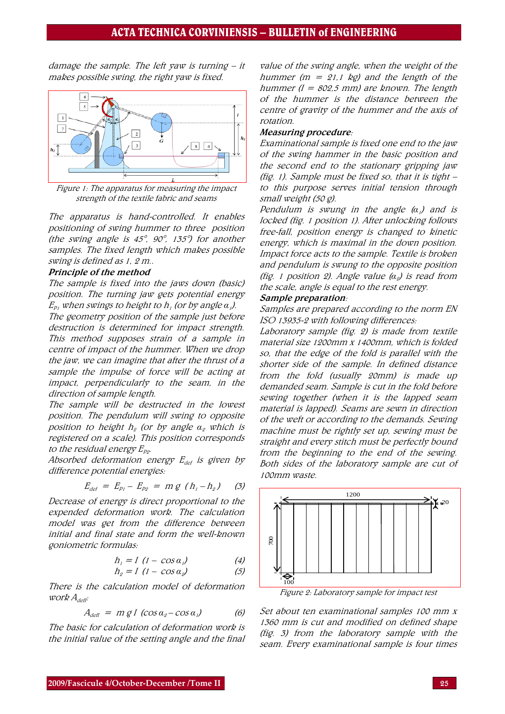damage the sample. The left yaw is turning – it makes possible swing, the right yaw is fixed.



Figure 1: The apparatus for measuring the impact strength of the textile fabric and seams

The apparatus is hand-controlled. It enables positioning of swing hummer to three position (the swing angle is 45°, 90°, 135°) for another samples. The fixed length which makes possible swing is defined as 1, 2 m..

#### Principle of the method

The sample is fixed into the jaws down (basic) position. The turning jaw gets potential energy  $E_{p_1}$  when swings to height to h<sub>1</sub> (or by angle  $\alpha_1$ ).

The geometry position of the sample just before destruction is determined for impact strength. This method supposes strain of a sample in centre of impact of the hummer. When we drop the jaw, we can imagine that after the thrust of a sample the impulse of force will be acting at impact, perpendicularly to the seam, in the direction of sample length.

The sample will be destructed in the lowest position. The pendulum will swing to opposite position to height h<sub>2</sub> (or by angle α<sub>2</sub> which is registered on a scale). This position corresponds to the residual energy  $E_{p_2}$ .

Absorbed deformation energy  $E_{def}$  is given by difference potential energies:

$$
E_{def} = E_{p_1} - E_{p_2} = m g (h_1 - h_2) (3)
$$

Decrease of energy is direct proportional to the expended deformation work. The calculation model was get from the difference between initial and final state and form the well-known goniometric formulas:

$$
h_i = I \ (1 - \cos \alpha_i) \tag{4}
$$

$$
h_2 = I \ (1 - \cos \alpha_2) \tag{5}
$$

There is the calculation model of deformation  $work$   $A_{\text{defl}}$ :

$$
A_{\text{defl}} = m g l \left( \cos \alpha_2 - \cos \alpha_1 \right) \tag{6}
$$

The basic for calculation of deformation work is the initial value of the setting angle and the final

value of the swing angle, when the weight of the hummer ( $m = 21.1$  kg) and the length of the hummer ( $l = 802.5$  mm) are known. The length of the hummer is the distance between the centre of gravity of the hummer and the axis of rotation.

#### Measuring procedure:

Examinational sample is fixed one end to the jaw of the swing hammer in the basic position and the second end to the stationary gripping jaw (fig. 1). Sample must be fixed so, that it is tight – to this purpose serves initial tension through small weight (50 g).

Pendulum is swung in the angle (*α*1) and is locked (fig. 1 position 1). After unlocking follows free-fall, position energy is changed to kinetic energy, which is maximal in the down position. Impact force acts to the sample. Textile is broken and pendulum is swung to the opposite position (fig. 1 position 2). Angle value (*α*2) is read from the scale, angle is equal to the rest energy.

### Sample preparation:

Samples are prepared according to the norm EN ISO 13935-2 with following differences:

Laboratory sample (fig. 2) is made from textile material size 1200mm x 1400mm, which is folded so, that the edge of the fold is parallel with the shorter side of the sample. In defined distance from the fold (usually 20mm) is made up demanded seam. Sample is cut in the fold before sewing together (when it is the lapped seam material is lapped). Seams are sewn in direction of the weft or according to the demands. Sewing machine must be rightly set up, sewing must be straight and every stitch must be perfectly bound from the beginning to the end of the sewing. Both sides of the laboratory sample are cut of 100mm waste.



Figure 2: Laboratory sample for impact test

Set about ten examinational samples 100 mm x 1360 mm is cut and modified on defined shape (fig. 3) from the laboratory sample with the seam. Every examinational sample is four times